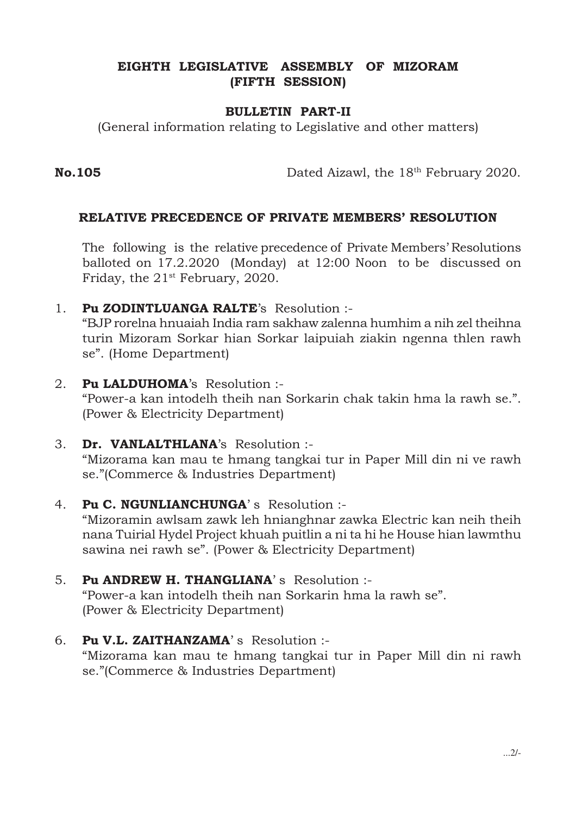#### EIGHTH LEGISLATIVE ASSEMBLY OF MIZORAM (FIFTH SESSION)

#### BULLETIN PART-II

(General information relating to Legislative and other matters)

No.105 Dated Aizawl, the 18<sup>th</sup> February 2020.

#### RELATIVE PRECEDENCE OF PRIVATE MEMBERS' RESOLUTION

The following is the relative precedence of Private Members' Resolutions balloted on 17.2.2020 (Monday) at 12:00 Noon to be discussed on Friday, the 21<sup>st</sup> February, 2020.

1. Pu ZODINTLUANGA RALTE's Resolution :-

"BJP rorelna hnuaiah India ram sakhaw zalenna humhim a nih zel theihna turin Mizoram Sorkar hian Sorkar laipuiah ziakin ngenna thlen rawh se". (Home Department)

- 2. Pu LALDUHOMA's Resolution :- "Power-a kan intodelh theih nan Sorkarin chak takin hma la rawh se.". (Power & Electricity Department)
- 3. Dr. VANLALTHLANA's Resolution :- "Mizorama kan mau te hmang tangkai tur in Paper Mill din ni ve rawh se."(Commerce & Industries Department)
- 4. Pu C. NGUNLIANCHUNGA's Resolution :-

"Mizoramin awlsam zawk leh hnianghnar zawka Electric kan neih theih nana Tuirial Hydel Project khuah puitlin a ni ta hi he House hian lawmthu sawina nei rawh se". (Power & Electricity Department)

- 5. Pu ANDREW H. THANGLIANA' s Resolution :- "Power-a kan intodelh theih nan Sorkarin hma la rawh se". (Power & Electricity Department)
- 6. Pu V.L. ZAITHANZAMA' s Resolution :- "Mizorama kan mau te hmang tangkai tur in Paper Mill din ni rawh se."(Commerce & Industries Department)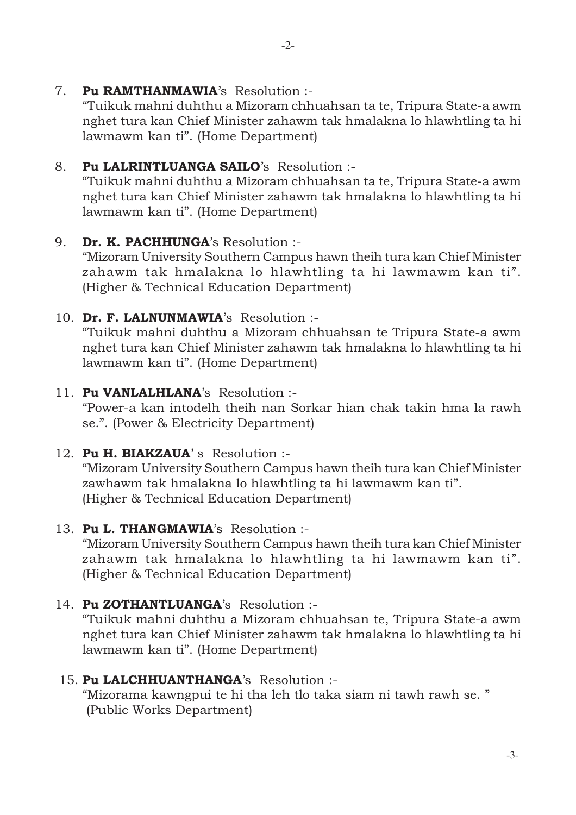7. Pu RAMTHANMAWIA's Resolution :-

"Tuikuk mahni duhthu a Mizoram chhuahsan ta te, Tripura State-a awm nghet tura kan Chief Minister zahawm tak hmalakna lo hlawhtling ta hi lawmawm kan ti". (Home Department)

## 8. Pu LALRINTLUANGA SAILO's Resolution :-

"Tuikuk mahni duhthu a Mizoram chhuahsan ta te, Tripura State-a awm nghet tura kan Chief Minister zahawm tak hmalakna lo hlawhtling ta hi lawmawm kan ti". (Home Department)

9. Dr. K. PACHHUNGA's Resolution :-

"Mizoram University Southern Campus hawn theih tura kan Chief Minister zahawm tak hmalakna lo hlawhtling ta hi lawmawm kan ti". (Higher & Technical Education Department)

10. Dr. F. LALNUNMAWIA's Resolution :-

"Tuikuk mahni duhthu a Mizoram chhuahsan te Tripura State-a awm nghet tura kan Chief Minister zahawm tak hmalakna lo hlawhtling ta hi lawmawm kan ti". (Home Department)

## 11. Pu VANLALHLANA's Resolution :-

"Power-a kan intodelh theih nan Sorkar hian chak takin hma la rawh se.". (Power & Electricity Department)

12. Pu H. BIAKZAUA's Resolution :-

"Mizoram University Southern Campus hawn theih tura kan Chief Minister zawhawm tak hmalakna lo hlawhtling ta hi lawmawm kan ti". (Higher & Technical Education Department)

# 13. Pu L. THANGMAWIA's Resolution :-

"Mizoram University Southern Campus hawn theih tura kan Chief Minister zahawm tak hmalakna lo hlawhtling ta hi lawmawm kan ti". (Higher & Technical Education Department)

# 14. Pu ZOTHANTLUANGA's Resolution :-

"Tuikuk mahni duhthu a Mizoram chhuahsan te, Tripura State-a awm nghet tura kan Chief Minister zahawm tak hmalakna lo hlawhtling ta hi lawmawm kan ti". (Home Department)

### 15. Pu LALCHHUANTHANGA's Resolution :-

"Mizorama kawngpui te hi tha leh tlo taka siam ni tawh rawh se. " (Public Works Department)